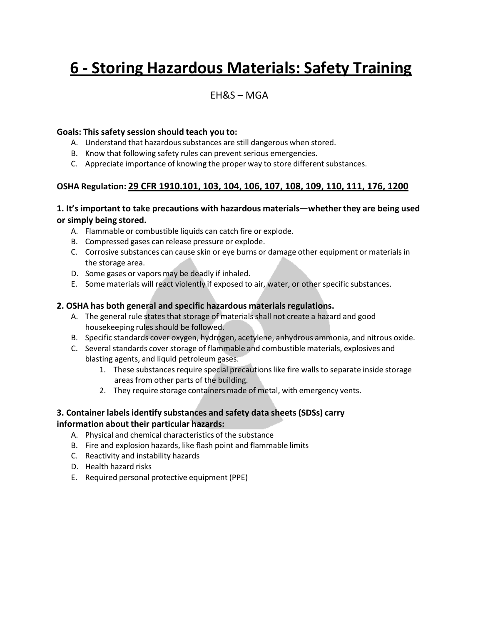# **6 - Storing Hazardous Materials: Safety Training**

### EH&S – MGA

### **Goals: This safety session should teach you to:**

- A. Understand that hazardous substances are still dangerous when stored.
- B. Know that following safety rules can prevent serious emergencies.
- C. Appreciate importance of knowing the proper way to store different substances.

### **OSHA Regulation: 29 CFR 1910.101, 103, 104, 106, 107, 108, 109, 110, 111, 176, 1200**

### **1. It's important to take precautions with hazardous materials—whetherthey are being used or simply being stored.**

- A. Flammable or combustible liquids can catch fire or explode.
- B. Compressed gases can release pressure or explode.
- C. Corrosive substances can cause skin or eye burns or damage other equipment or materials in the storage area.
- D. Some gases or vapors may be deadly if inhaled.
- E. Some materials will react violently if exposed to air, water, or other specific substances.

### **2. OSHA has both general and specific hazardous materials regulations.**

- A. The general rule states that storage of materialsshall not create a hazard and good housekeeping rules should be followed.
- B. Specific standards cover oxygen, hydrogen, acetylene, anhydrous ammonia, and nitrous oxide.
- C. Several standards cover storage of flammable and combustible materials, explosives and blasting agents, and liquid petroleum gases.
	- 1. These substances require special precautions like fire walls to separate inside storage areas from other parts of the building.
	- 2. They require storage containers made of metal, with emergency vents.

## **3. Container labels identify substances and safety data sheets (SDSs) carry**

#### **information about their particular hazards:**

- A. Physical and chemical characteristics of the substance
- B. Fire and explosion hazards, like flash point and flammable limits
- C. Reactivity and instability hazards
- D. Health hazard risks
- E. Required personal protective equipment (PPE)